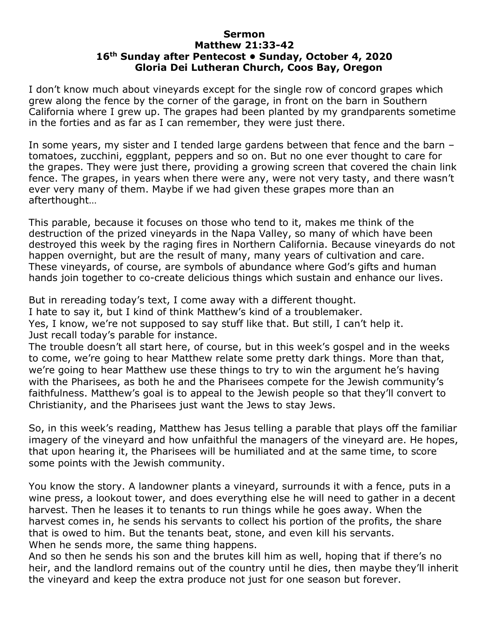## **Sermon Matthew 21:33-42 16th Sunday after Pentecost • Sunday, October 4, 2020 Gloria Dei Lutheran Church, Coos Bay, Oregon**

I don't know much about vineyards except for the single row of concord grapes which grew along the fence by the corner of the garage, in front on the barn in Southern California where I grew up. The grapes had been planted by my grandparents sometime in the forties and as far as I can remember, they were just there.

In some years, my sister and I tended large gardens between that fence and the barn – tomatoes, zucchini, eggplant, peppers and so on. But no one ever thought to care for the grapes. They were just there, providing a growing screen that covered the chain link fence. The grapes, in years when there were any, were not very tasty, and there wasn't ever very many of them. Maybe if we had given these grapes more than an afterthought…

This parable, because it focuses on those who tend to it, makes me think of the destruction of the prized vineyards in the Napa Valley, so many of which have been destroyed this week by the raging fires in Northern California. Because vineyards do not happen overnight, but are the result of many, many years of cultivation and care. These vineyards, of course, are symbols of abundance where God's gifts and human hands join together to co-create delicious things which sustain and enhance our lives.

But in rereading today's text, I come away with a different thought.

I hate to say it, but I kind of think Matthew's kind of a troublemaker.

Yes, I know, we're not supposed to say stuff like that. But still, I can't help it.

Just recall today's parable for instance.

The trouble doesn't all start here, of course, but in this week's gospel and in the weeks to come, we're going to hear Matthew relate some pretty dark things. More than that, we're going to hear Matthew use these things to try to win the argument he's having with the Pharisees, as both he and the Pharisees compete for the Jewish community's faithfulness. Matthew's goal is to appeal to the Jewish people so that they'll convert to Christianity, and the Pharisees just want the Jews to stay Jews.

So, in this week's reading, Matthew has Jesus telling a parable that plays off the familiar imagery of the vineyard and how unfaithful the managers of the vineyard are. He hopes, that upon hearing it, the Pharisees will be humiliated and at the same time, to score some points with the Jewish community.

You know the story. A landowner plants a vineyard, surrounds it with a fence, puts in a wine press, a lookout tower, and does everything else he will need to gather in a decent harvest. Then he leases it to tenants to run things while he goes away. When the harvest comes in, he sends his servants to collect his portion of the profits, the share that is owed to him. But the tenants beat, stone, and even kill his servants. When he sends more, the same thing happens.

And so then he sends his son and the brutes kill him as well, hoping that if there's no heir, and the landlord remains out of the country until he dies, then maybe they'll inherit the vineyard and keep the extra produce not just for one season but forever.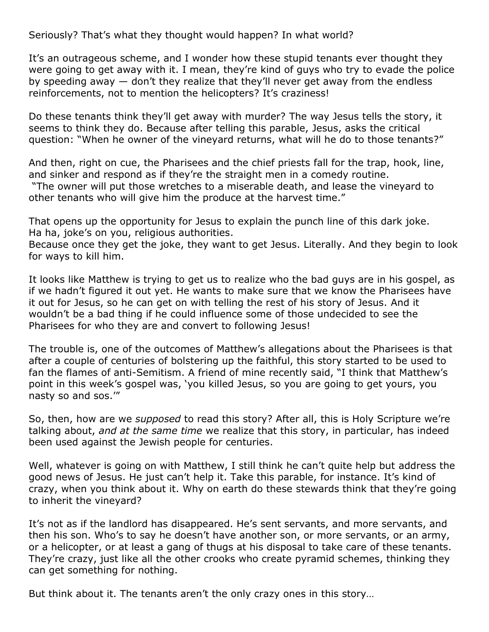Seriously? That's what they thought would happen? In what world?

It's an outrageous scheme, and I wonder how these stupid tenants ever thought they were going to get away with it. I mean, they're kind of guys who try to evade the police by speeding away — don't they realize that they'll never get away from the endless reinforcements, not to mention the helicopters? It's craziness!

Do these tenants think they'll get away with murder? The way Jesus tells the story, it seems to think they do. Because after telling this parable, Jesus, asks the critical question: "When he owner of the vineyard returns, what will he do to those tenants?"

And then, right on cue, the Pharisees and the chief priests fall for the trap, hook, line, and sinker and respond as if they're the straight men in a comedy routine. "The owner will put those wretches to a miserable death, and lease the vineyard to other tenants who will give him the produce at the harvest time."

That opens up the opportunity for Jesus to explain the punch line of this dark joke. Ha ha, joke's on you, religious authorities.

Because once they get the joke, they want to get Jesus. Literally. And they begin to look for ways to kill him.

It looks like Matthew is trying to get us to realize who the bad guys are in his gospel, as if we hadn't figured it out yet. He wants to make sure that we know the Pharisees have it out for Jesus, so he can get on with telling the rest of his story of Jesus. And it wouldn't be a bad thing if he could influence some of those undecided to see the Pharisees for who they are and convert to following Jesus!

The trouble is, one of the outcomes of Matthew's allegations about the Pharisees is that after a couple of centuries of bolstering up the faithful, this story started to be used to fan the flames of anti-Semitism. A friend of mine recently said, "I think that Matthew's point in this week's gospel was, 'you killed Jesus, so you are going to get yours, you nasty so and sos.'"

So, then, how are we *supposed* to read this story? After all, this is Holy Scripture we're talking about, *and at the same time* we realize that this story, in particular, has indeed been used against the Jewish people for centuries.

Well, whatever is going on with Matthew, I still think he can't quite help but address the good news of Jesus. He just can't help it. Take this parable, for instance. It's kind of crazy, when you think about it. Why on earth do these stewards think that they're going to inherit the vineyard?

It's not as if the landlord has disappeared. He's sent servants, and more servants, and then his son. Who's to say he doesn't have another son, or more servants, or an army, or a helicopter, or at least a gang of thugs at his disposal to take care of these tenants. They're crazy, just like all the other crooks who create pyramid schemes, thinking they can get something for nothing.

But think about it. The tenants aren't the only crazy ones in this story…